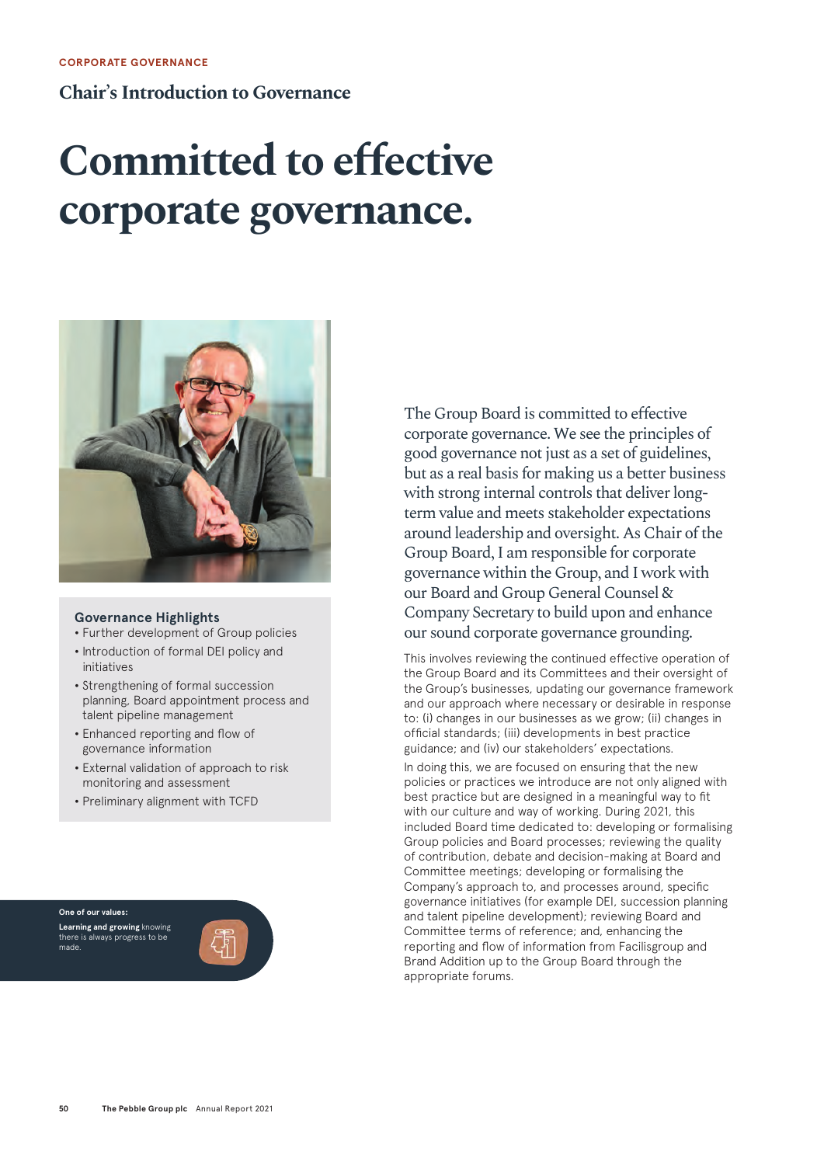#### **Chair's Introduction to Governance**

## **Committed to effective corporate governance.**



#### **Governance Highlights**

- **•** Further development of Group policies
- **•** Introduction of formal DEI policy and initiatives
- **•** Strengthening of formal succession planning, Board appointment process and talent pipeline management
- **•** Enhanced reporting and flow of governance information
- **•** External validation of approach to risk monitoring and assessment
- **•** Preliminary alignment with TCFD

**One of our values: Learning and growing** knowing there is always progress to be made.



The Group Board is committed to effective corporate governance. We see the principles of good governance not just as a set of guidelines, but as a real basis for making us a better business with strong internal controls that deliver longterm value and meets stakeholder expectations around leadership and oversight. As Chair of the Group Board, I am responsible for corporate governance within the Group, and I work with our Board and Group General Counsel & Company Secretary to build upon and enhance our sound corporate governance grounding.

This involves reviewing the continued effective operation of the Group Board and its Committees and their oversight of the Group's businesses, updating our governance framework and our approach where necessary or desirable in response to: (i) changes in our businesses as we grow; (ii) changes in official standards; (iii) developments in best practice guidance; and (iv) our stakeholders' expectations.

In doing this, we are focused on ensuring that the new policies or practices we introduce are not only aligned with best practice but are designed in a meaningful way to fit with our culture and way of working. During 2021, this included Board time dedicated to: developing or formalising Group policies and Board processes; reviewing the quality of contribution, debate and decision-making at Board and Committee meetings; developing or formalising the Company's approach to, and processes around, specific governance initiatives (for example DEI, succession planning and talent pipeline development); reviewing Board and Committee terms of reference; and, enhancing the reporting and flow of information from Facilisgroup and Brand Addition up to the Group Board through the appropriate forums.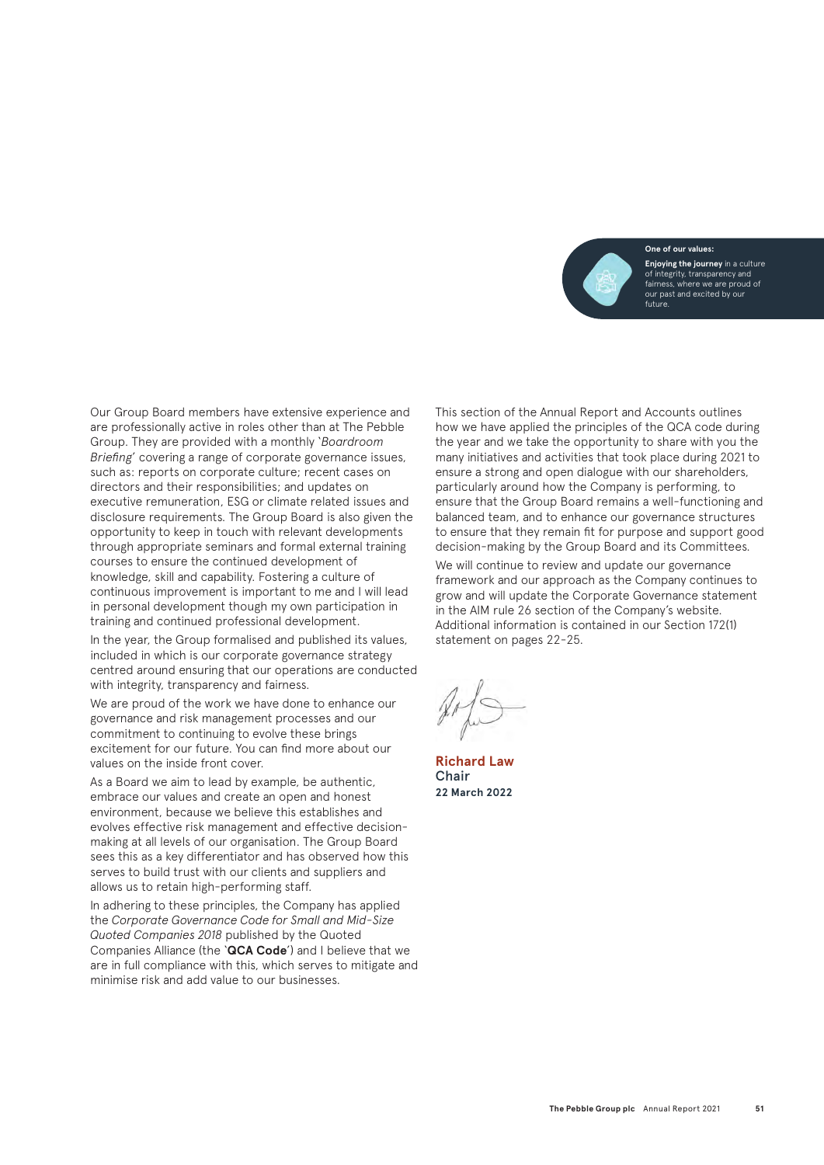**One of our values:**



Our Group Board members have extensive experience and are professionally active in roles other than at The Pebble Group. They are provided with a monthly '*Boardroom Briefing*' covering a range of corporate governance issues, such as: reports on corporate culture; recent cases on directors and their responsibilities; and updates on executive remuneration, ESG or climate related issues and disclosure requirements. The Group Board is also given the opportunity to keep in touch with relevant developments through appropriate seminars and formal external training courses to ensure the continued development of knowledge, skill and capability. Fostering a culture of continuous improvement is important to me and I will lead in personal development though my own participation in training and continued professional development.

In the year, the Group formalised and published its values, included in which is our corporate governance strategy centred around ensuring that our operations are conducted with integrity, transparency and fairness.

We are proud of the work we have done to enhance our governance and risk management processes and our commitment to continuing to evolve these brings excitement for our future. You can find more about our values on the inside front cover.

As a Board we aim to lead by example, be authentic, embrace our values and create an open and honest environment, because we believe this establishes and evolves effective risk management and effective decisionmaking at all levels of our organisation. The Group Board sees this as a key differentiator and has observed how this serves to build trust with our clients and suppliers and allows us to retain high-performing staff.

In adhering to these principles, the Company has applied the *Corporate Governance Code for Small and Mid-Size Quoted Companies 2018* published by the Quoted Companies Alliance (the '**QCA Code**') and I believe that we are in full compliance with this, which serves to mitigate and minimise risk and add value to our businesses.

This section of the Annual Report and Accounts outlines how we have applied the principles of the QCA code during the year and we take the opportunity to share with you the many initiatives and activities that took place during 2021 to ensure a strong and open dialogue with our shareholders, particularly around how the Company is performing, to ensure that the Group Board remains a well-functioning and balanced team, and to enhance our governance structures to ensure that they remain fit for purpose and support good decision-making by the Group Board and its Committees.

We will continue to review and update our governance framework and our approach as the Company continues to grow and will update the Corporate Governance statement in the AIM rule 26 section of the Company's website. Additional information is contained in our Section 172(1) statement on pages 22-25.

**Richard Law** Chair **22 March 2022**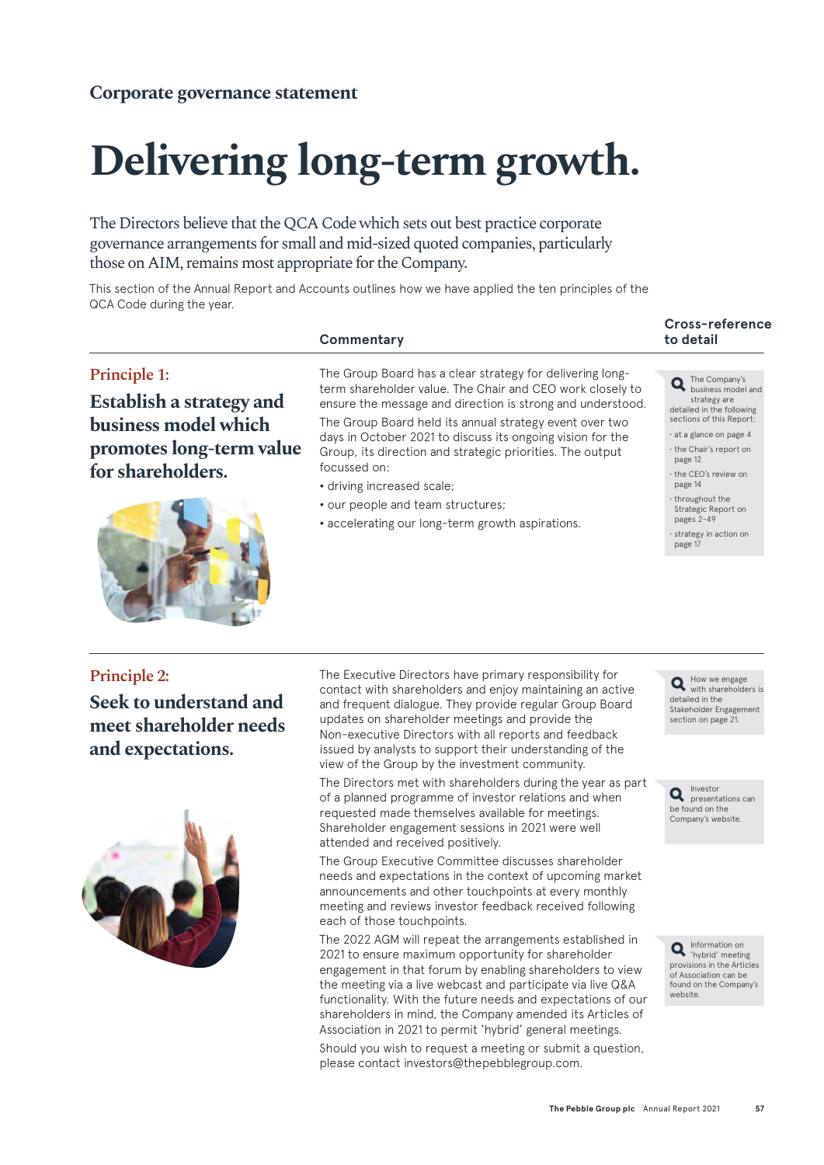# **Delivering long-term growth.**

The Directors believe that the QCA Code which sets out best practice corporate governance arrangements for small and mid-sized quoted companies, particularly those on AIM, remains most appropriate for the Company.

This section of the Annual Report and Accounts outlines how we have applied the ten principles of the QCA Code during the year.

#### **Principle 1:**

**Establish a strategy and business model which promotes long-term value for shareholders.**



#### **Commentary**

The Group Board has a clear strategy for delivering longterm shareholder value. The Chair and CEO work closely to ensure the message and direction is strong and understood. The Group Board held its annual strategy event over two days in October 2021 to discuss its ongoing vision for the Group, its direction and strategic priorities. The output focussed on:

- **•** driving increased scale;
- **•** our people and team structures;
- **•** accelerating our long-term growth aspirations.

### **Cross-reference**

The Company's business model and strategy are detailed in the following sections of this Report:

• at a glance on page 4 • the Chair's report on page 12

• the CEO's review on page 14

• throughout the Strategic Report on pages 2-49

• strategy in action on page 1

#### **Principle 2:**

**Seek to understand and meet shareholder needs and expectations.**



The Executive Directors have primary responsibility for contact with shareholders and enjoy maintaining an active and frequent dialogue. They provide regular Group Board updates on shareholder meetings and provide the Non-executive Directors with all reports and feedback issued by analysts to support their understanding of the view of the Group by the investment community.

The Directors met with shareholders during the year as part of a planned programme of investor relations and when requested made themselves available for meetings. Shareholder engagement sessions in 2021 were well attended and received positively.

The Group Executive Committee discusses shareholder needs and expectations in the context of upcoming market announcements and other touchpoints at every monthly meeting and reviews investor feedback received following each of those touchpoints.

The 2022 AGM will repeat the arrangements established in 2021 to ensure maximum opportunity for shareholder engagement in that forum by enabling shareholders to view the meeting via a live webcast and participate via live Q&A functionality. With the future needs and expectations of our shareholders in mind, the Company amended its Articles of Association in 2021 to permit 'hybrid' general meetings.

Should you wish to request a meeting or submit a question, please contact investors@thepebblegroup.com.

How we engage with shareholders is detailed in the Stakeholder Engagement section on page 21.

Investor presentations can be found on the Company's website.

Information on 'hybrid' meeting provisions in the Articles of Association can be found on the Company's website.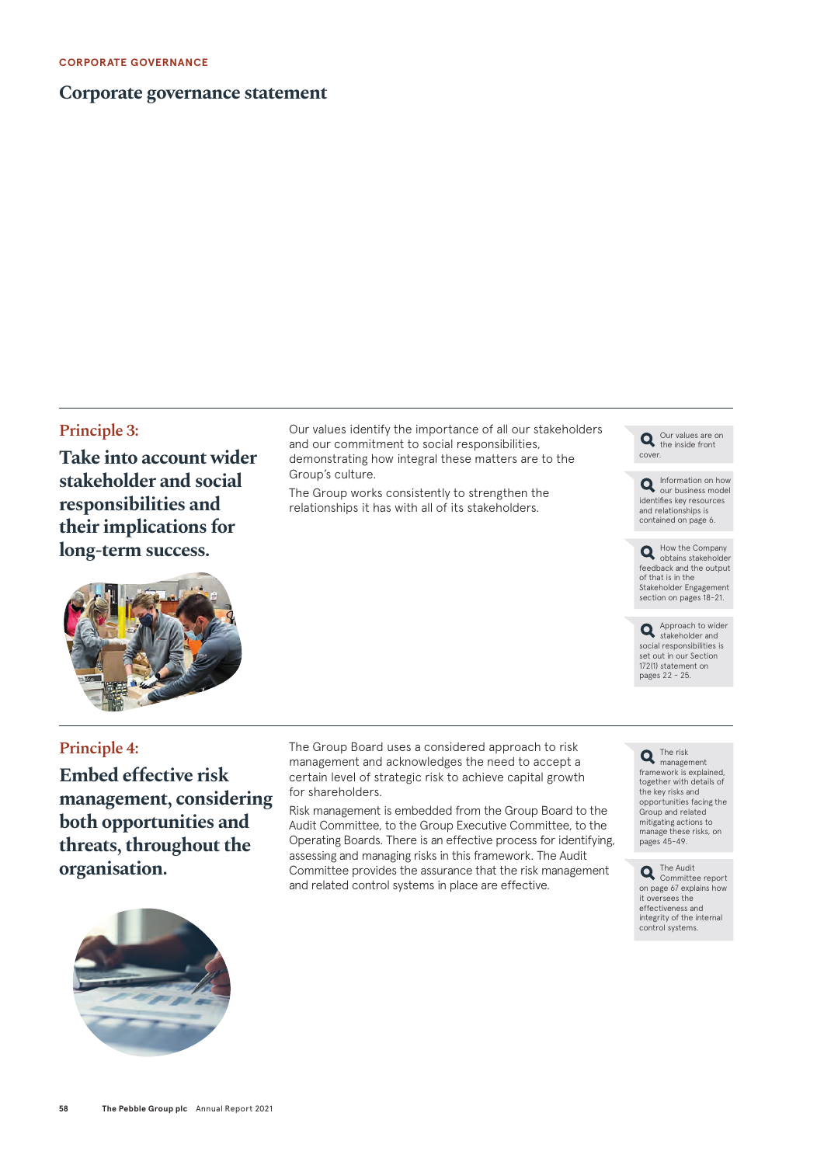#### **Corporate governance statement**

#### **Principle 3:**

**Take into account wider stakeholder and social responsibilities and their implications for long-term success.**

Our values identify the importance of all our stakeholders and our commitment to social responsibilities, demonstrating how integral these matters are to the Group's culture.

The Group works consistently to strengthen the relationships it has with all of its stakeholders.



Information on how our business model identifies key resources and relationships is contained on page 6.

How the Company obtains stakeholder feedback and the output of that is in the Stakeholder Engagement section on pages 18-21.

Approach to wider stakeholder and social responsibilities is set out in our Section 172(1) statement on pages 22 - 25.



#### **Principle 4:**

**Embed effective risk management, considering both opportunities and threats, throughout the organisation.**

The Group Board uses a considered approach to risk management and acknowledges the need to accept a certain level of strategic risk to achieve capital growth for shareholders.

Risk management is embedded from the Group Board to the Audit Committee, to the Group Executive Committee, to the Operating Boards. There is an effective process for identifying, assessing and managing risks in this framework. The Audit Committee provides the assurance that the risk management and related control systems in place are effective.

The risk management framework is explained, together with details of the key risks and opportunities facing the Group and related mitigating actions to manage these risks, on pages 45-49.

The Audit Committee report on page 67 explains how it oversees the effectiveness and integrity of the internal control systems.

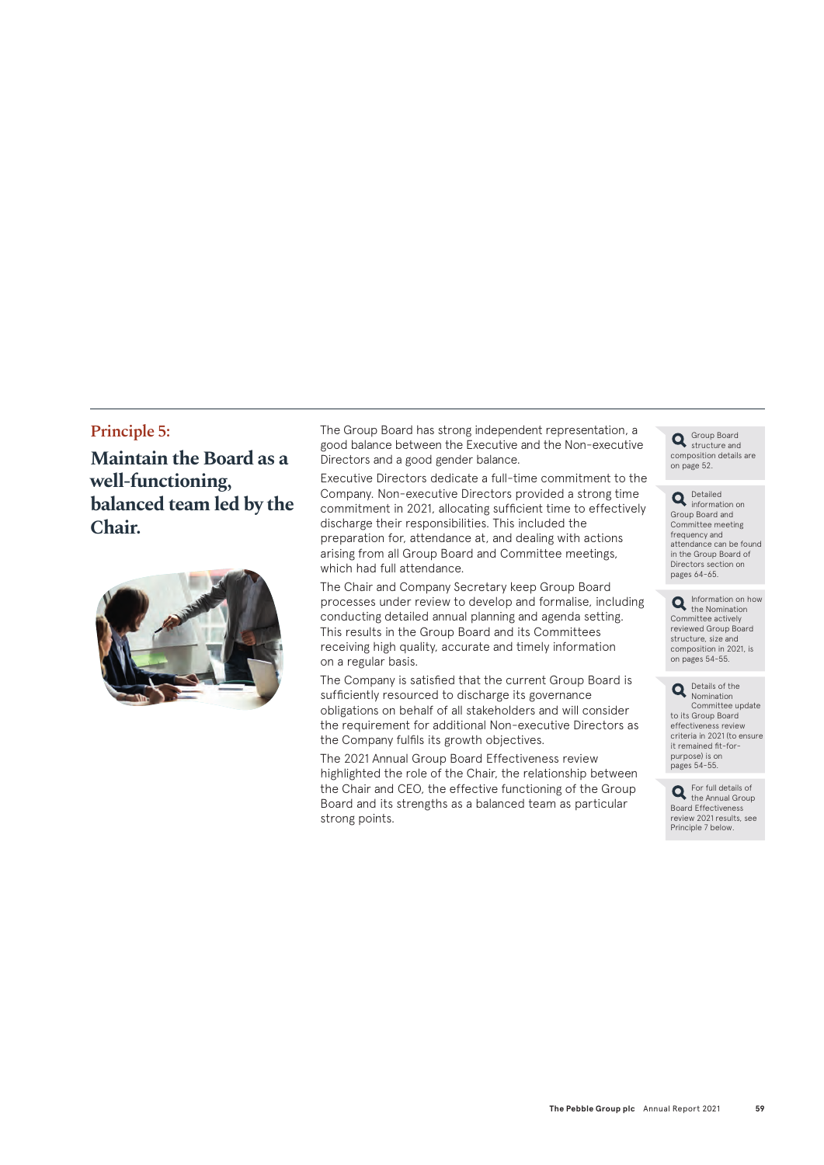#### **Principle 5:**

**Maintain the Board as a well-functioning, balanced team led by the Chair.**



The Group Board has strong independent representation, a good balance between the Executive and the Non-executive Directors and a good gender balance.

Executive Directors dedicate a full-time commitment to the Company. Non-executive Directors provided a strong time commitment in 2021, allocating sufficient time to effectively discharge their responsibilities. This included the preparation for, attendance at, and dealing with actions arising from all Group Board and Committee meetings, which had full attendance.

The Chair and Company Secretary keep Group Board processes under review to develop and formalise, including conducting detailed annual planning and agenda setting. This results in the Group Board and its Committees receiving high quality, accurate and timely information on a regular basis.

The Company is satisfied that the current Group Board is sufficiently resourced to discharge its governance obligations on behalf of all stakeholders and will consider the requirement for additional Non-executive Directors as the Company fulfils its growth objectives.

The 2021 Annual Group Board Effectiveness review highlighted the role of the Chair, the relationship between the Chair and CEO, the effective functioning of the Group Board and its strengths as a balanced team as particular strong points.

Group Board structure and composition details are on page 52.

Detailed information on Group Board and Committee meeting frequency and attendance can be found in the Group Board of Directors section on pages 64-65.

Information on how the Nomination Committee actively reviewed Group Board structure, size and composition in 2021, is on pages 54-55.

Details of the Nomination Committee update to its Group Board effectiveness review criteria in 2021 (to ensure it remained fit-forpurpose) is on pages 54-55.

For full details of the Annual Group Board Effectiveness review 2021 results, see Principle 7 below.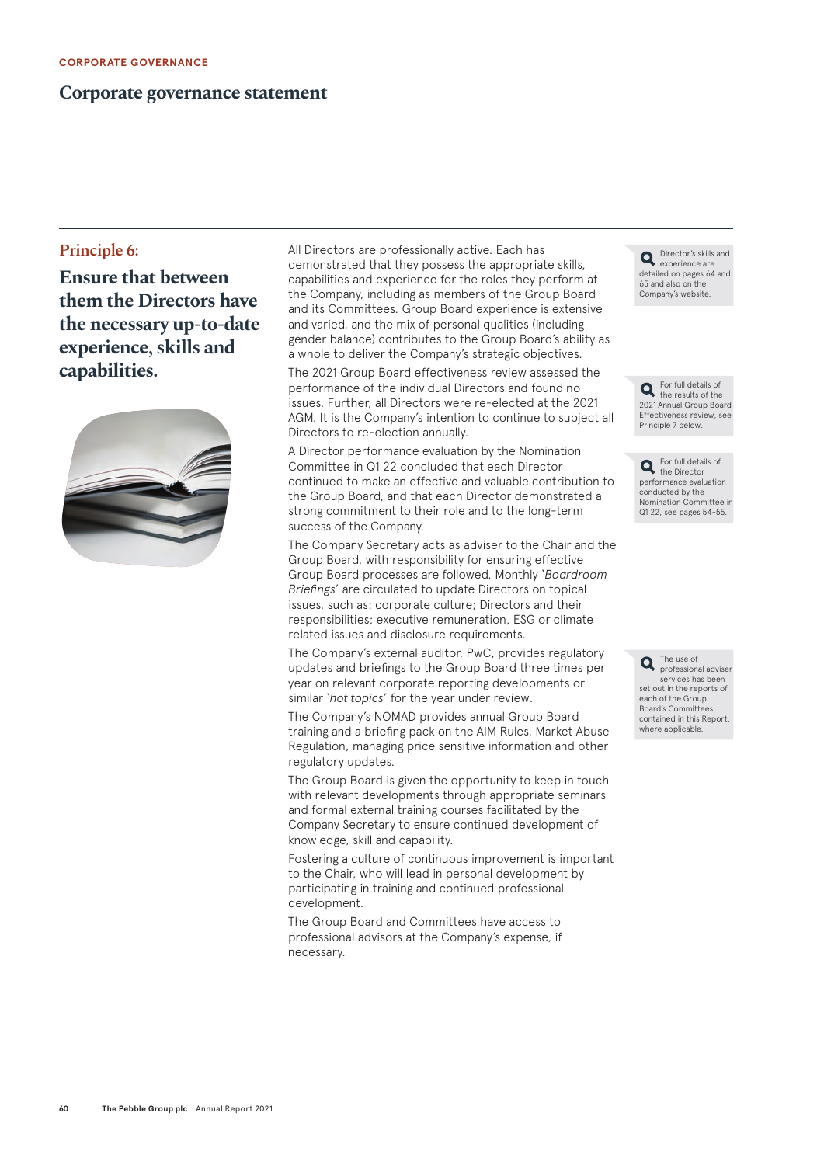#### **Corporate governance statement**

#### **Principle 6:**

**Ensure that between them the Directors have the necessary up-to-date experience, skills and capabilities.**



All Directors are professionally active. Each has demonstrated that they possess the appropriate skills, capabilities and experience for the roles they perform at the Company, including as members of the Group Board and its Committees. Group Board experience is extensive and varied, and the mix of personal qualities (including gender balance) contributes to the Group Board's ability as a whole to deliver the Company's strategic objectives.

The 2021 Group Board effectiveness review assessed the performance of the individual Directors and found no issues. Further, all Directors were re-elected at the 2021 AGM. It is the Company's intention to continue to subject all Directors to re-election annually.

A Director performance evaluation by the Nomination Committee in Q1 22 concluded that each Director continued to make an effective and valuable contribution to the Group Board, and that each Director demonstrated a strong commitment to their role and to the long-term success of the Company.

The Company Secretary acts as adviser to the Chair and the Group Board, with responsibility for ensuring effective Group Board processes are followed. Monthly '*Boardroom Briefings*' are circulated to update Directors on topical issues, such as: corporate culture; Directors and their responsibilities; executive remuneration, ESG or climate related issues and disclosure requirements.

The Company's external auditor, PwC, provides regulatory updates and briefings to the Group Board three times per year on relevant corporate reporting developments or similar '*hot topics*' for the year under review.

The Company's NOMAD provides annual Group Board training and a briefing pack on the AIM Rules, Market Abuse Regulation, managing price sensitive information and other regulatory updates.

The Group Board is given the opportunity to keep in touch with relevant developments through appropriate seminars and formal external training courses facilitated by the Company Secretary to ensure continued development of knowledge, skill and capability.

Fostering a culture of continuous improvement is important to the Chair, who will lead in personal development by participating in training and continued professional development.

The Group Board and Committees have access to professional advisors at the Company's expense, if necessary.

Director's skills and experience are detailed on pages 64 and 65 and also on the Company's website.

For full details of the results of the 2021 Annual Group Board Effectiveness review, see Principle 7 below.

For full details of the Director performance evaluation conducted by the Nomination Committee in Q1 22, see pages 54-55.

The use of  $\bullet$  The use of professional adviser services has been set out in the reports of each of the Group Board's Committees contained in this Report, where applicable.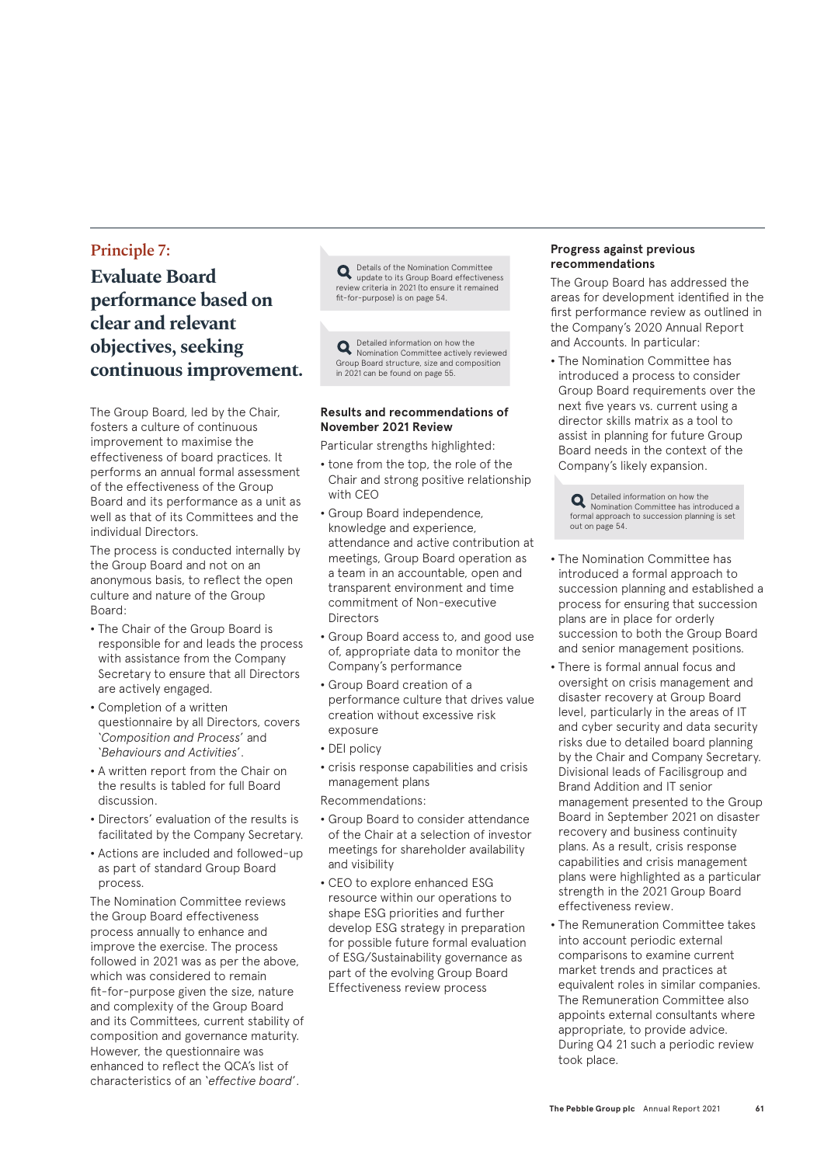#### **Principle 7:**

**Evaluate Board performance based on clear and relevant objectives, seeking continuous improvement.**

The Group Board, led by the Chair, fosters a culture of continuous improvement to maximise the effectiveness of board practices. It performs an annual formal assessment of the effectiveness of the Group Board and its performance as a unit as well as that of its Committees and the individual Directors.

The process is conducted internally by the Group Board and not on an anonymous basis, to reflect the open culture and nature of the Group Board:

- **•** The Chair of the Group Board is responsible for and leads the process with assistance from the Company Secretary to ensure that all Directors are actively engaged.
- **•** Completion of a written questionnaire by all Directors, covers '*Composition and Process*' and '*Behaviours and Activities*'.
- **•** A written report from the Chair on the results is tabled for full Board discussion.
- **•** Directors' evaluation of the results is facilitated by the Company Secretary.
- **•** Actions are included and followed-up as part of standard Group Board process.

The Nomination Committee reviews the Group Board effectiveness process annually to enhance and improve the exercise. The process followed in 2021 was as per the above, which was considered to remain fit-for-purpose given the size, nature and complexity of the Group Board and its Committees, current stability of composition and governance maturity. However, the questionnaire was enhanced to reflect the QCA's list of characteristics of an '*effective board*'.

Details of the Nomination Committee update to its Group Board effectiveness review criteria in 2021 (to ensure it remained fit-for-purpose) is on page 54.

Detailed information on how the Nomination Committee actively reviewed Group Board structure, size and composition in 2021 can be found on page 55.

#### **Results and recommendations of November 2021 Review**

Particular strengths highlighted:

- **•** tone from the top, the role of the Chair and strong positive relationship with CEO
- **•** Group Board independence, knowledge and experience, attendance and active contribution at meetings, Group Board operation as a team in an accountable, open and transparent environment and time commitment of Non-executive **Directors**
- **•** Group Board access to, and good use of, appropriate data to monitor the Company's performance
- **•** Group Board creation of a performance culture that drives value creation without excessive risk exposure
- **•** DEI policy
- **•** crisis response capabilities and crisis management plans
- Recommendations:
- **•** Group Board to consider attendance of the Chair at a selection of investor meetings for shareholder availability and visibility
- **•** CEO to explore enhanced ESG resource within our operations to shape ESG priorities and further develop ESG strategy in preparation for possible future formal evaluation of ESG/Sustainability governance as part of the evolving Group Board Effectiveness review process

#### **Progress against previous recommendations**

The Group Board has addressed the areas for development identified in the first performance review as outlined in the Company's 2020 Annual Report and Accounts. In particular:

**•** The Nomination Committee has introduced a process to consider Group Board requirements over the next five years vs. current using a director skills matrix as a tool to assist in planning for future Group Board needs in the context of the Company's likely expansion.

Detailed information on how the Nomination Committee has introduced a formal approach to succession planning is set out on page 54.

- **•** The Nomination Committee has introduced a formal approach to succession planning and established a process for ensuring that succession plans are in place for orderly succession to both the Group Board and senior management positions.
- **•** There is formal annual focus and oversight on crisis management and disaster recovery at Group Board level, particularly in the areas of IT and cyber security and data security risks due to detailed board planning by the Chair and Company Secretary. Divisional leads of Facilisgroup and Brand Addition and IT senior management presented to the Group Board in September 2021 on disaster recovery and business continuity plans. As a result, crisis response capabilities and crisis management plans were highlighted as a particular strength in the 2021 Group Board effectiveness review.
- **•** The Remuneration Committee takes into account periodic external comparisons to examine current market trends and practices at equivalent roles in similar companies. The Remuneration Committee also appoints external consultants where appropriate, to provide advice. During Q4 21 such a periodic review took place.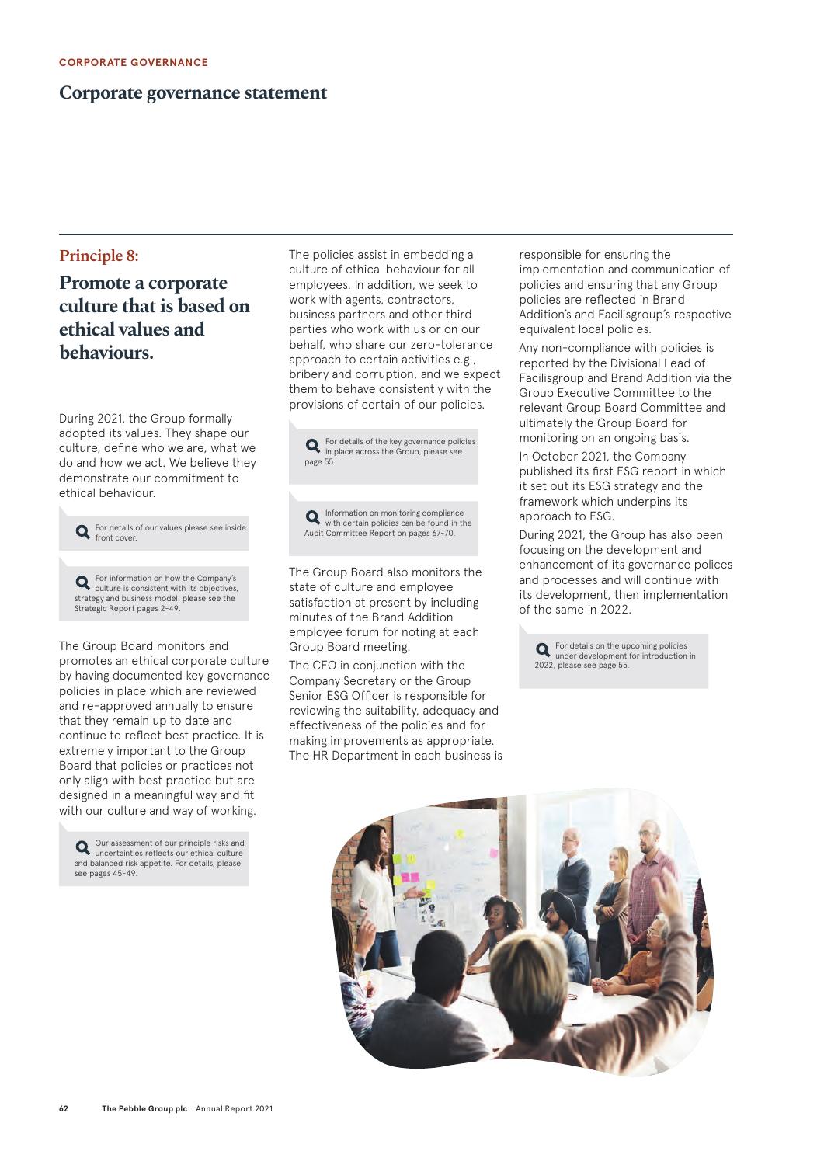#### **Corporate governance statement**

#### **Principle 8:**

#### **Promote a corporate culture that is based on ethical values and behaviours.**

During 2021, the Group formally adopted its values. They shape our culture, define who we are, what we do and how we act. We believe they demonstrate our commitment to ethical behaviour.



The Group Board monitors and promotes an ethical corporate culture by having documented key governance policies in place which are reviewed and re-approved annually to ensure that they remain up to date and continue to reflect best practice. It is extremely important to the Group Board that policies or practices not only align with best practice but are designed in a meaningful way and fit with our culture and way of working.

Our assessment of our principle risks and uncertainties reflects our ethical culture and balanced risk appetite. For details, please see pages 45-49.

The policies assist in embedding a culture of ethical behaviour for all employees. In addition, we seek to work with agents, contractors, business partners and other third parties who work with us or on our behalf, who share our zero-tolerance approach to certain activities e.g., bribery and corruption, and we expect them to behave consistently with the provisions of certain of our policies.



Information on monitoring compliance with certain policies can be found in the Audit Committee Report on pages 67-70.

The Group Board also monitors the state of culture and employee satisfaction at present by including minutes of the Brand Addition employee forum for noting at each Group Board meeting.

The CEO in conjunction with the Company Secretary or the Group Senior ESG Officer is responsible for reviewing the suitability, adequacy and effectiveness of the policies and for making improvements as appropriate. The HR Department in each business is responsible for ensuring the implementation and communication of policies and ensuring that any Group policies are reflected in Brand Addition's and Facilisgroup's respective equivalent local policies.

Any non-compliance with policies is reported by the Divisional Lead of Facilisgroup and Brand Addition via the Group Executive Committee to the relevant Group Board Committee and ultimately the Group Board for monitoring on an ongoing basis.

In October 2021, the Company published its first ESG report in which it set out its ESG strategy and the framework which underpins its approach to ESG.

During 2021, the Group has also been focusing on the development and enhancement of its governance polices and processes and will continue with its development, then implementation of the same in 2022.



For details on the upcoming policies under development for introduction in 2022, please see page 55.